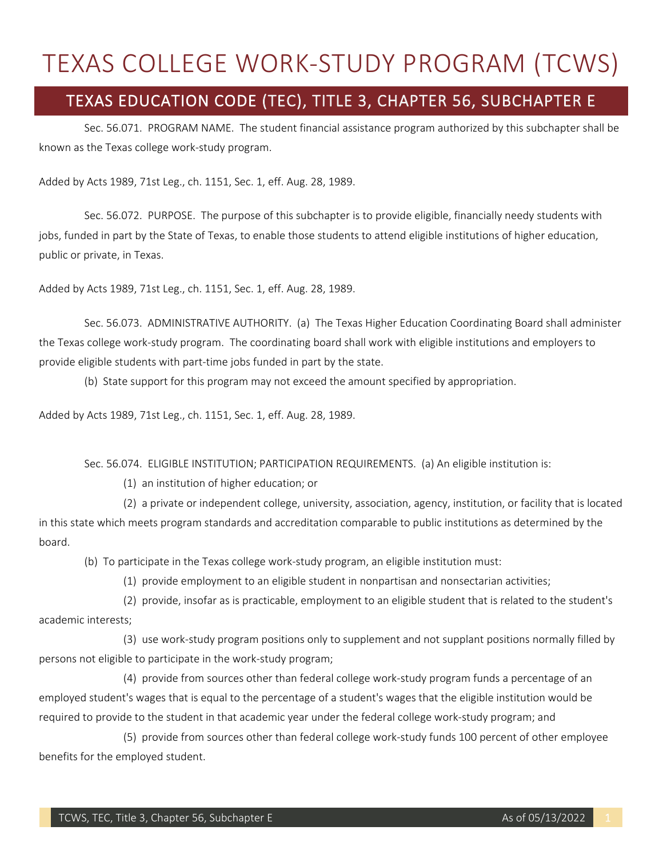## TEXAS COLLEGE WORK-STUDY PROGRAM (TCWS)

## TEXAS EDUCATION CODE (TEC), TITLE 3, CHAPTER 56, SUBCHAPTER E

 known as the Texas college work-study program. Sec. 56.071. PROGRAM NAME. The student financial assistance program authorized by this subchapter shall be

Added by Acts 1989, 71st Leg., ch. 1151, Sec. 1, eff. Aug. 28, 1989.

 Sec. 56.072. PURPOSE. The purpose of this subchapter is to provide eligible, financially needy students with jobs, funded in part by the State of Texas, to enable those students to attend eligible institutions of higher education, public or private, in Texas.

Added by Acts 1989, 71st Leg., ch. 1151, Sec. 1, eff. Aug. 28, 1989.

 the Texas college work-study program. The coordinating board shall work with eligible institutions and employers to Sec. 56.073. ADMINISTRATIVE AUTHORITY. (a) The Texas Higher Education Coordinating Board shall administer provide eligible students with part-time jobs funded in part by the state.

(b) State support for this program may not exceed the amount specified by appropriation.

Added by Acts 1989, 71st Leg., ch. 1151, Sec. 1, eff. Aug. 28, 1989.

Sec. 56.074. ELIGIBLE INSTITUTION; PARTICIPATION REQUIREMENTS. (a) An eligible institution is:

(1) an institution of higher education; or

 (2) a private or independent college, university, association, agency, institution, or facility that is located in this state which meets program standards and accreditation comparable to public institutions as determined by the board.

(b) To participate in the Texas college work-study program, an eligible institution must:

(1) provide employment to an eligible student in nonpartisan and nonsectarian activities;

 (2) provide, insofar as is practicable, employment to an eligible student that is related to the student's academic interests;

 persons not eligible to participate in the work-study program; (3) use work-study program positions only to supplement and not supplant positions normally filled by

 (4) provide from sources other than federal college work-study program funds a percentage of an employed student's wages that is equal to the percentage of a student's wages that the eligible institution would be required to provide to the student in that academic year under the federal college work-study program; and

 (5) provide from sources other than federal college work-study funds 100 percent of other employee benefits for the employed student.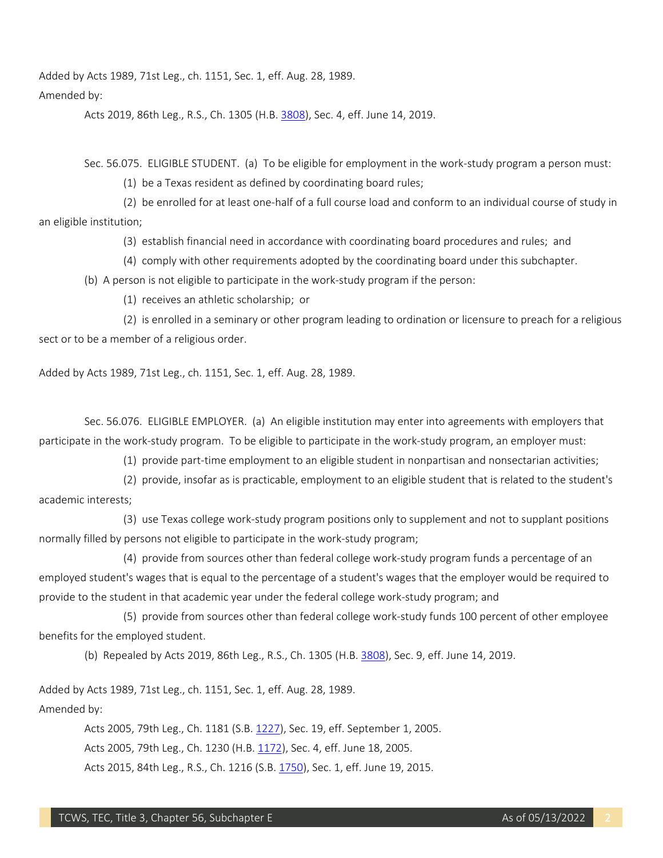Added by Acts 1989, 71st Leg., ch. 1151, Sec. 1, eff. Aug. 28, 1989.

## Amended by:

Acts 2019, 86th Leg., R.S., Ch. 1305 (H.B[. 3808\)](http://www.legis.state.tx.us/tlodocs/86R/billtext/html/HB03808F.HTM), Sec. 4, eff. June 14, 2019.

Sec. 56.075. ELIGIBLE STUDENT. (a) To be eligible for employment in the work-study program a person must:

(1) be a Texas resident as defined by coordinating board rules;

 (2) be enrolled for at least one-half of a full course load and conform to an individual course of study in an eligible institution;

(3) establish financial need in accordance with coordinating board procedures and rules; and

(4) comply with other requirements adopted by the coordinating board under this subchapter.

(b) A person is not eligible to participate in the work-study program if the person:

(1) receives an athletic scholarship; or

 sect or to be a member of a religious order. (2) is enrolled in a seminary or other program leading to ordination or licensure to preach for a religious

Added by Acts 1989, 71st Leg., ch. 1151, Sec. 1, eff. Aug. 28, 1989.

 Sec. 56.076. ELIGIBLE EMPLOYER. (a) An eligible institution may enter into agreements with employers that participate in the work-study program. To be eligible to participate in the work-study program, an employer must:

(1) provide part-time employment to an eligible student in nonpartisan and nonsectarian activities;

 (2) provide, insofar as is practicable, employment to an eligible student that is related to the student's academic interests;

(3) use Texas college work-study program positions only to supplement and not to supplant positions normally filled by persons not eligible to participate in the work-study program;

 (4) provide from sources other than federal college work-study program funds a percentage of an employed student's wages that is equal to the percentage of a student's wages that the employer would be required to provide to the student in that academic year under the federal college work-study program; and

 (5) provide from sources other than federal college work-study funds 100 percent of other employee benefits for the employed student.

(b) Repealed by Acts 2019, 86th Leg., R.S., Ch. 1305 (H.B[. 3808\)](http://www.legis.state.tx.us/tlodocs/86R/billtext/html/HB03808F.HTM), Sec. 9, eff. June 14, 2019.

Added by Acts 1989, 71st Leg., ch. 1151, Sec. 1, eff. Aug. 28, 1989.

Amended by:

Acts 2005, 79th Leg., Ch. 1181 (S.B. [1227\)](http://www.legis.state.tx.us/tlodocs/79R/billtext/html/SB01227F.HTM), Sec. 19, eff. September 1, 2005.

Acts 2005, 79th Leg., Ch. 1230 (H.B. [1172\)](http://www.legis.state.tx.us/tlodocs/79R/billtext/html/HB01172F.HTM), Sec. 4, eff. June 18, 2005.

Acts 2015, 84th Leg., R.S., Ch. 1216 (S.B[. 1750\)](http://www.legis.state.tx.us/tlodocs/84R/billtext/html/SB01750F.HTM), Sec. 1, eff. June 19, 2015.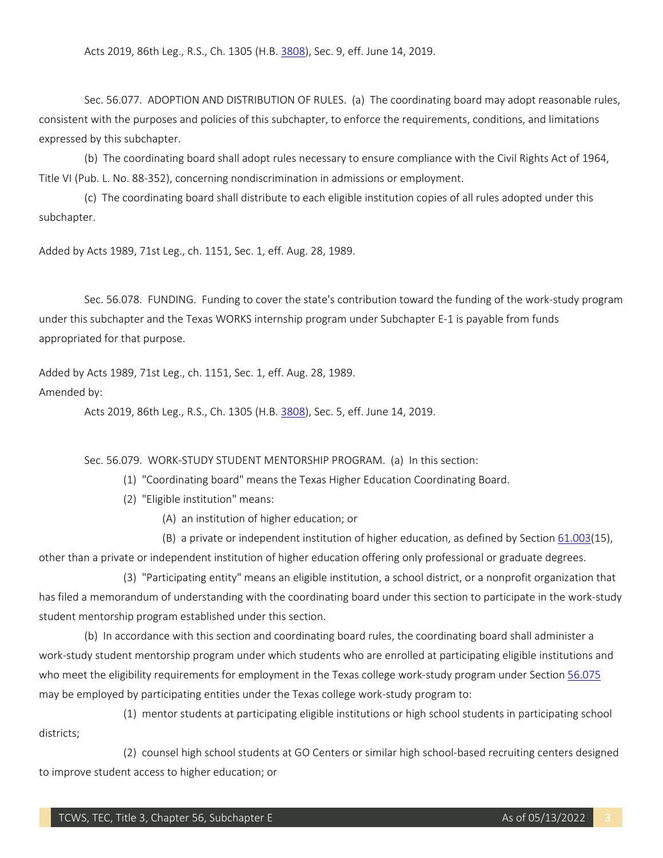Acts 2019, 86th Leg., R.S., Ch. 1305 (H.B[. 3808\)](http://www.legis.state.tx.us/tlodocs/86R/billtext/html/HB03808F.HTM), Sec. 9, eff. June 14, 2019.

Sec. 56.077. ADOPTION AND DISTRIBUTION OF RULES. (a) The coordinating board may adopt reasonable rules, consistent with the purposes and policies of this subchapter, to enforce the requirements, conditions, and limitations expressed by this subchapter.

(b) The coordinating board shall adopt rules necessary to ensure compliance with the Civil Rights Act of 1964, Title VI (Pub. L. No. 88-352), concerning nondiscrimination in admissions or employment.

 (c) The coordinating board shall distribute to each eligible institution copies of all rules adopted under this subchapter.

Added by Acts 1989, 71st Leg., ch. 1151, Sec. 1, eff. Aug. 28, 1989.

 Sec. 56.078. FUNDING. Funding to cover the state's contribution toward the funding of the work-study program under this subchapter and the Texas WORKS internship program under Subchapter E-1 is payable from funds appropriated for that purpose.

Added by Acts 1989, 71st Leg., ch. 1151, Sec. 1, eff. Aug. 28, 1989.

## Amended by:

Acts 2019, 86th Leg., R.S., Ch. 1305 (H.B[. 3808\)](http://www.legis.state.tx.us/tlodocs/86R/billtext/html/HB03808F.HTM), Sec. 5, eff. June 14, 2019.

Sec. 56.079. WORK-STUDY STUDENT MENTORSHIP PROGRAM. (a) In this section:

(1) "Coordinating board" means the Texas Higher Education Coordinating Board.

(2) "Eligible institution" means:

(A) an institution of higher education; or

(B) a private or independent institution of higher education, as defined by Section [61.003\(](http://www.statutes.legis.state.tx.us/GetStatute.aspx?Code=ED&Value=61.003)15),

other than a private or independent institution of higher education offering only professional or graduate degrees.

 (3) "Participating entity" means an eligible institution, a school district, or a nonprofit organization that has filed a memorandum of understanding with the coordinating board under this section to participate in the work-study student mentorship program established under this section.

 work-study student mentorship program under which students who are enrolled at participating eligible institutions and (b) In accordance with this section and coordinating board rules, the coordinating board shall administer a who meet the eligibility requirements for employment in the Texas college work-study program under Section 56.075 may be employed by participating entities under the Texas college work-study program to:

(1) mentor students at participating eligible institutions or high school students in participating school districts;

 (2) counsel high school students at GO Centers or similar high school-based recruiting centers designed to improve student access to higher education; or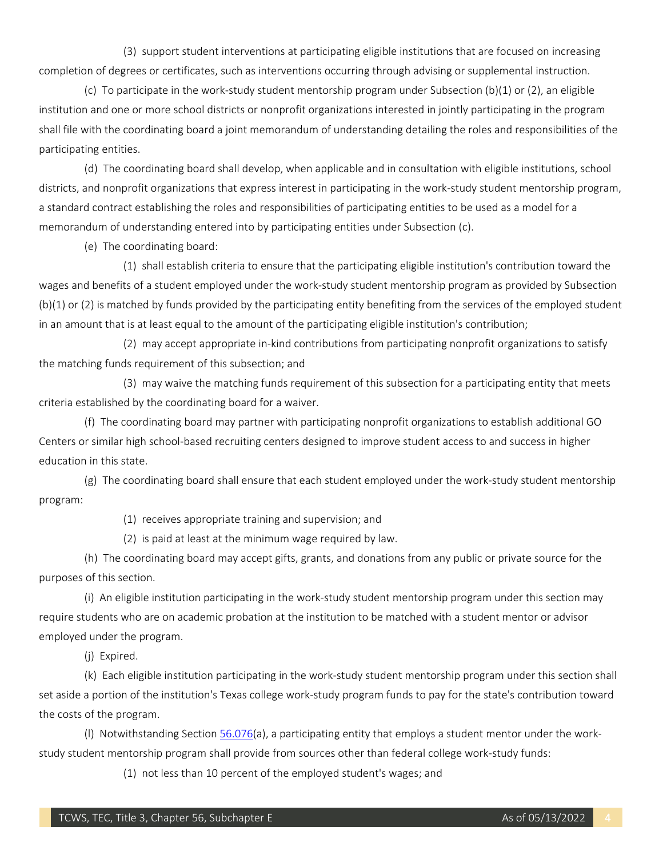(3) support student interventions at participating eligible institutions that are focused on increasing completion of degrees or certificates, such as interventions occurring through advising or supplemental instruction.

 (c) To participate in the work-study student mentorship program under Subsection (b)(1) or (2), an eligible institution and one or more school districts or nonprofit organizations interested in jointly participating in the program shall file with the coordinating board a joint memorandum of understanding detailing the roles and responsibilities of the participating entities.

 districts, and nonprofit organizations that express interest in participating in the work-study student mentorship program, memorandum of understanding entered into by participating entities under Subsection (c). (d) The coordinating board shall develop, when applicable and in consultation with eligible institutions, school a standard contract establishing the roles and responsibilities of participating entities to be used as a model for a

(e) The coordinating board:

 wages and benefits of a student employed under the work-study student mentorship program as provided by Subsection in an amount that is at least equal to the amount of the participating eligible institution's contribution; (1) shall establish criteria to ensure that the participating eligible institution's contribution toward the (b)(1) or (2) is matched by funds provided by the participating entity benefiting from the services of the employed student

(2) may accept appropriate in-kind contributions from participating nonprofit organizations to satisfy the matching funds requirement of this subsection; and

 (3) may waive the matching funds requirement of this subsection for a participating entity that meets criteria established by the coordinating board for a waiver.

 (f) The coordinating board may partner with participating nonprofit organizations to establish additional GO Centers or similar high school-based recruiting centers designed to improve student access to and success in higher education in this state.

 (g) The coordinating board shall ensure that each student employed under the work-study student mentorship program:

(1) receives appropriate training and supervision; and

(2) is paid at least at the minimum wage required by law.

 (h) The coordinating board may accept gifts, grants, and donations from any public or private source for the purposes of this section.

 (i) An eligible institution participating in the work-study student mentorship program under this section may require students who are on academic probation at the institution to be matched with a student mentor or advisor employed under the program.

(j) Expired.

(k) Each eligible institution participating in the work-study student mentorship program under this section shall set aside a portion of the institution's Texas college work-study program funds to pay for the state's contribution toward the costs of the program.

(I) Notwithstanding Section <u>56.076</u>(a), a participating entity that employs a student mentor under the workstudy student mentorship program shall provide from sources other than federal college work-study funds:

(1) not less than 10 percent of the employed student's wages; and